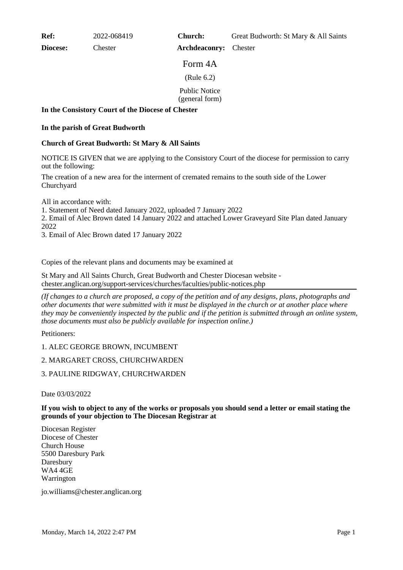**Ref:** 2022-068419

**Diocese:** Chester

Form 4A (Rule 6.2)

**Archdeaconry:** Chester

Public Notice

(general form)

## **In the Consistory Court of the Diocese of Chester**

## **In the parish of Great Budworth**

## **Church of Great Budworth: St Mary & All Saints**

NOTICE IS GIVEN that we are applying to the Consistory Court of the diocese for permission to carry out the following:

The creation of a new area for the interment of cremated remains to the south side of the Lower Churchyard

All in accordance with:

1. Statement of Need dated January 2022, uploaded 7 January 2022

2. Email of Alec Brown dated 14 January 2022 and attached Lower Graveyard Site Plan dated January 2022

3. Email of Alec Brown dated 17 January 2022

Copies of the relevant plans and documents may be examined at

St Mary and All Saints Church, Great Budworth and Chester Diocesan website chester.anglican.org/support-services/churches/faculties/public-notices.php

*(If changes to a church are proposed, a copy of the petition and of any designs, plans, photographs and other documents that were submitted with it must be displayed in the church or at another place where they may be conveniently inspected by the public and if the petition is submitted through an online system, those documents must also be publicly available for inspection online.)*

Petitioners:

1. ALEC GEORGE BROWN, INCUMBENT

2. MARGARET CROSS, CHURCHWARDEN

3. PAULINE RIDGWAY, CHURCHWARDEN

Date 03/03/2022

**If you wish to object to any of the works or proposals you should send a letter or email stating the grounds of your objection to The Diocesan Registrar at**

Diocesan Register Diocese of Chester Church House 5500 Daresbury Park Daresbury WA4 4GE Warrington

jo.williams@chester.anglican.org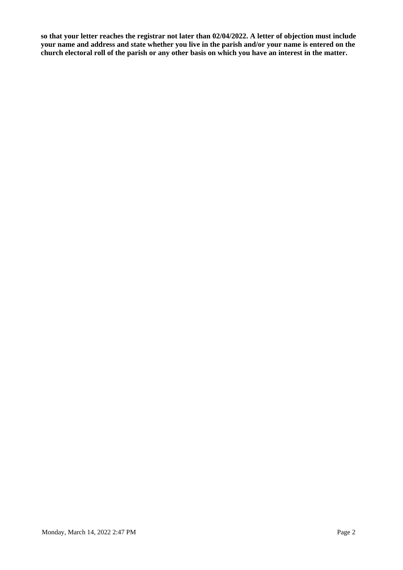**so that your letter reaches the registrar not later than 02/04/2022. A letter of objection must include your name and address and state whether you live in the parish and/or your name is entered on the church electoral roll of the parish or any other basis on which you have an interest in the matter.**